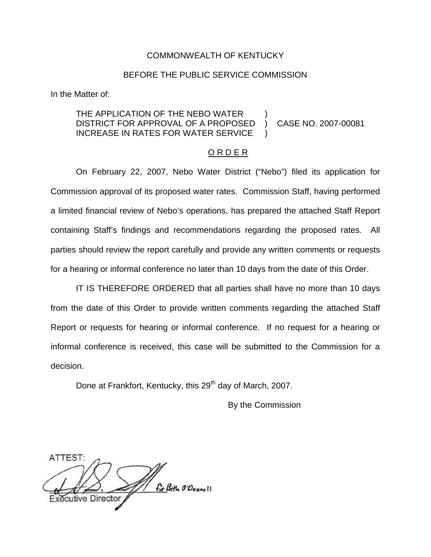### COMMONWEALTH OF KENTUCKY

### BEFORE THE PUBLIC SERVICE COMMISSION

In the Matter of:

## THE APPLICATION OF THE NEBO WATER DISTRICT FOR APPROVAL OF A PROPOSED ) CASE NO. 2007-00081 INCREASE IN RATES FOR WATER SERVICE

#### O R D E R

On February 22, 2007, Nebo Water District ("Nebo") filed its application for Commission approval of its proposed water rates. Commission Staff, having performed a limited financial review of Nebo's operations, has prepared the attached Staff Report containing Staff's findings and recommendations regarding the proposed rates. All parties should review the report carefully and provide any written comments or requests for a hearing or informal conference no later than 10 days from the date of this Order.

IT IS THEREFORE ORDERED that all parties shall have no more than 10 days from the date of this Order to provide written comments regarding the attached Staff Report or requests for hearing or informal conference. If no request for a hearing or informal conference is received, this case will be submitted to the Commission for a decision.

Done at Frankfort, Kentucky, this 29<sup>th</sup> day of March, 2007.

By the Commission

ATTEST: for Beth O'Donnell tive Director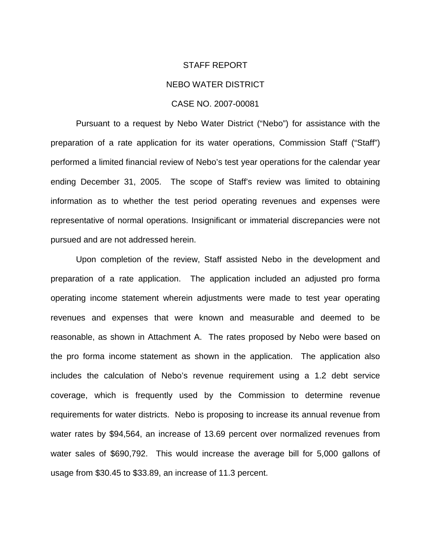#### STAFF REPORT

#### NEBO WATER DISTRICT

### CASE NO. 2007-00081

Pursuant to a request by Nebo Water District ("Nebo") for assistance with the preparation of a rate application for its water operations, Commission Staff ("Staff") performed a limited financial review of Nebo's test year operations for the calendar year ending December 31, 2005. The scope of Staff's review was limited to obtaining information as to whether the test period operating revenues and expenses were representative of normal operations. Insignificant or immaterial discrepancies were not pursued and are not addressed herein.

Upon completion of the review, Staff assisted Nebo in the development and preparation of a rate application. The application included an adjusted pro forma operating income statement wherein adjustments were made to test year operating revenues and expenses that were known and measurable and deemed to be reasonable, as shown in Attachment A. The rates proposed by Nebo were based on the pro forma income statement as shown in the application. The application also includes the calculation of Nebo's revenue requirement using a 1.2 debt service coverage, which is frequently used by the Commission to determine revenue requirements for water districts. Nebo is proposing to increase its annual revenue from water rates by \$94,564, an increase of 13.69 percent over normalized revenues from water sales of \$690,792. This would increase the average bill for 5,000 gallons of usage from \$30.45 to \$33.89, an increase of 11.3 percent.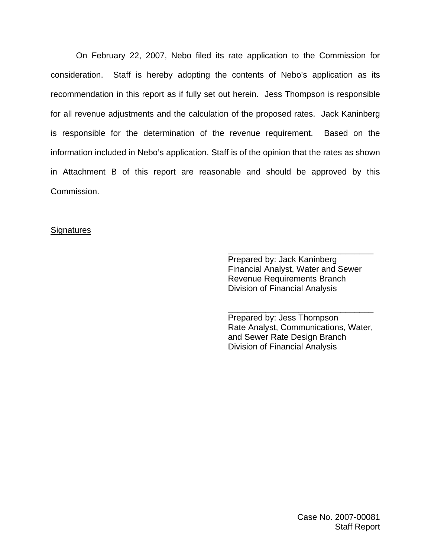On February 22, 2007, Nebo filed its rate application to the Commission for consideration. Staff is hereby adopting the contents of Nebo's application as its recommendation in this report as if fully set out herein. Jess Thompson is responsible for all revenue adjustments and the calculation of the proposed rates. Jack Kaninberg is responsible for the determination of the revenue requirement. Based on the information included in Nebo's application, Staff is of the opinion that the rates as shown in Attachment B of this report are reasonable and should be approved by this Commission.

## **Signatures**

Prepared by: Jack Kaninberg Financial Analyst, Water and Sewer Revenue Requirements Branch Division of Financial Analysis

\_\_\_\_\_\_\_\_\_\_\_\_\_\_\_\_\_\_\_\_\_\_\_\_\_\_\_\_\_\_\_

Prepared by: Jess Thompson Rate Analyst, Communications, Water, and Sewer Rate Design Branch Division of Financial Analysis

\_\_\_\_\_\_\_\_\_\_\_\_\_\_\_\_\_\_\_\_\_\_\_\_\_\_\_\_\_\_\_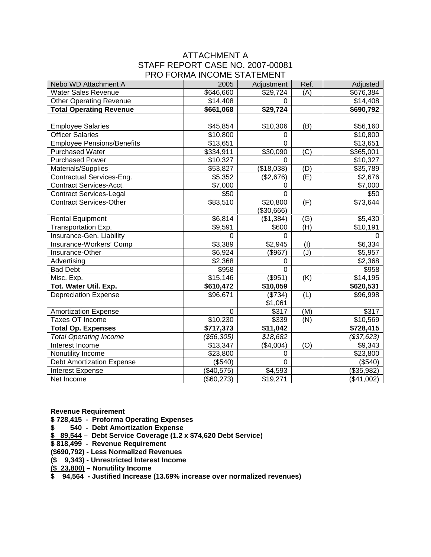## ATTACHMENT A STAFF REPORT CASE NO. 2007-00081 PRO FORMA INCOME STATEMENT

| Nebo WD Attachment A              | 2005                 | Adjustment     | Ref.                      | Adjusted   |
|-----------------------------------|----------------------|----------------|---------------------------|------------|
| <b>Water Sales Revenue</b>        | \$646,660            | \$29,724       | (A)                       | \$676,384  |
| <b>Other Operating Revenue</b>    | \$14,408             | $\Omega$       |                           | \$14,408   |
| <b>Total Operating Revenue</b>    | \$661,068            | \$29,724       |                           | \$690,792  |
|                                   |                      |                |                           |            |
| <b>Employee Salaries</b>          | \$45,854             | \$10,306       | (B)                       | \$56,160   |
| <b>Officer Salaries</b>           | \$10,800             | 0              |                           | \$10,800   |
| <b>Employee Pensions/Benefits</b> | \$13,651             | $\Omega$       |                           | \$13,651   |
| <b>Purchased Water</b>            | \$334,911            | \$30,090       | (C)                       | \$365,001  |
| <b>Purchased Power</b>            | \$10,327             | $\Omega$       |                           | \$10,327   |
| Materials/Supplies                | \$53,827             | (\$18,038)     | (D)                       | \$35,789   |
| Contractual Services-Eng.         | \$5,352              | (\$2,676)      | $\overline{(\mathsf{E})}$ | \$2,676    |
| <b>Contract Services-Acct.</b>    | \$7,000              | 0              |                           | \$7,000    |
| <b>Contract Services-Legal</b>    | \$50                 | $\Omega$       |                           | \$50       |
| <b>Contract Services-Other</b>    | \$83,510             | \$20,800       | (F)                       | \$73,644   |
|                                   |                      | (\$30,666)     |                           |            |
| <b>Rental Equipment</b>           | \$6,814              | (\$1,384)      | (G)                       | \$5,430    |
| Transportation Exp.               | \$9,591              | \$600          | (H)                       | \$10,191   |
| Insurance-Gen. Liability          | $\Omega$             | $\Omega$       |                           | $\Omega$   |
| Insurance-Workers' Comp           | \$3,389              | \$2,945        | (1)                       | \$6,334    |
| Insurance-Other                   | \$6,924              | $($ \$967)     | (J)                       | \$5,957    |
| Advertising                       | \$2,368              | 0              |                           | \$2,368    |
| <b>Bad Debt</b>                   | \$958                | $\overline{0}$ |                           | \$958      |
| Misc. Exp.                        | $\overline{$}15,146$ | (\$951)        | (K)                       | \$14,195   |
| Tot. Water Util. Exp.             | \$610,472            | \$10,059       |                           | \$620,531  |
| <b>Depreciation Expense</b>       | \$96,671             | (\$734)        | (L)                       | \$96,998   |
|                                   |                      | \$1,061        |                           |            |
| <b>Amortization Expense</b>       | $\mathbf 0$          | \$317          | (M)                       | \$317      |
| <b>Taxes OT Income</b>            | \$10,230             | \$339          | (N)                       | \$10,569   |
| <b>Total Op. Expenses</b>         | \$717,373            | \$11,042       |                           | \$728,415  |
| <b>Total Operating Income</b>     | (\$56,305)           | \$18,682       |                           | (\$37,623) |
| Interest Income                   | \$13,347             | (\$4,004)      | (O)                       | \$9,343    |
| Nonutility Income                 | \$23,800             | 0              |                           | \$23,800   |
| <b>Debt Amortization Expense</b>  | (\$540)              | $\overline{0}$ |                           | (\$540)    |
| Interest Expense                  | (\$40,575)           | \$4,593        |                           | (\$35,982) |
| Net Income                        | (\$60,273)           | \$19,271       |                           | (\$41,002) |

**Revenue Requirement**

**\$ 728,415 - Proforma Operating Expenses**

**\$ 540 - Debt Amortization Expense**

**\$ 89,544 – Debt Service Coverage (1.2 x \$74,620 Debt Service)**

**\$ 818,499 - Revenue Requirement**

**(\$690,792) - Less Normalized Revenues**

**(\$ 9,343) - Unrestricted Interest Income**

**(\$ 23,800) – Nonutility Income**

**\$ 94,564 - Justified Increase (13.69% increase over normalized revenues)**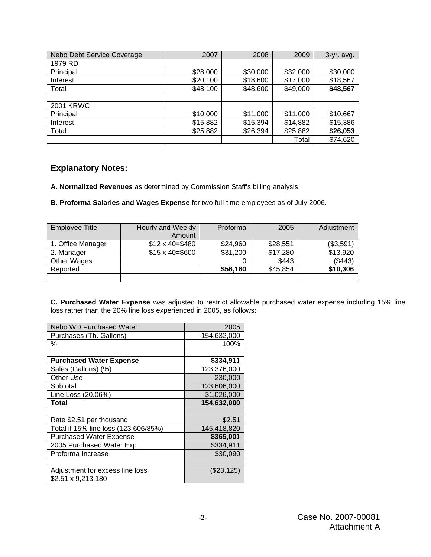| Nebo Debt Service Coverage | 2007     | 2008     | 2009     | $3-yr.$ avg. |
|----------------------------|----------|----------|----------|--------------|
| 1979 RD                    |          |          |          |              |
| Principal                  | \$28,000 | \$30,000 | \$32,000 | \$30,000     |
| Interest                   | \$20,100 | \$18,600 | \$17,000 | \$18,567     |
| Total                      | \$48,100 | \$48,600 | \$49,000 | \$48,567     |
|                            |          |          |          |              |
| <b>2001 KRWC</b>           |          |          |          |              |
| Principal                  | \$10,000 | \$11,000 | \$11,000 | \$10,667     |
| Interest                   | \$15,882 | \$15,394 | \$14,882 | \$15,386     |
| Total                      | \$25,882 | \$26,394 | \$25,882 | \$26,053     |
|                            |          |          | Total    | \$74,620     |

# **Explanatory Notes:**

**A. Normalized Revenues** as determined by Commission Staff's billing analysis.

**B. Proforma Salaries and Wages Expense** for two full-time employees as of July 2006.

| <b>Employee Title</b> | Hourly and Weekly      | Proforma | 2005     | Adjustment |
|-----------------------|------------------------|----------|----------|------------|
|                       | Amount                 |          |          |            |
| 1. Office Manager     | $$12 \times 40 = $480$ | \$24,960 | \$28,551 | (\$3,591)  |
| 2. Manager            | $$15 \times 40 = $600$ | \$31,200 | \$17,280 | \$13,920   |
| Other Wages           |                        |          | \$443    | (\$443)    |
| Reported              |                        | \$56,160 | \$45,854 | \$10,306   |
|                       |                        |          |          |            |

**C. Purchased Water Expense** was adjusted to restrict allowable purchased water expense including 15% line loss rather than the 20% line loss experienced in 2005, as follows:

| <b>Nebo WD Purchased Water</b>                        | 2005        |
|-------------------------------------------------------|-------------|
| Purchases (Th. Gallons)                               | 154,632,000 |
| ℅                                                     | 100%        |
|                                                       |             |
| <b>Purchased Water Expense</b>                        | \$334,911   |
| Sales (Gallons) (%)                                   | 123,376,000 |
| Other Use                                             | 230,000     |
| Subtotal                                              | 123,606,000 |
| Line Loss (20.06%)                                    | 31,026,000  |
| <b>Total</b>                                          | 154,632,000 |
|                                                       |             |
| Rate \$2.51 per thousand                              | \$2.51      |
| Total if 15% line loss (123,606/85%)                  | 145,418,820 |
| <b>Purchased Water Expense</b>                        | \$365,001   |
| 2005 Purchased Water Exp.                             | \$334,911   |
| Proforma Increase                                     | \$30,090    |
|                                                       |             |
| Adjustment for excess line loss<br>\$2.51 x 9,213,180 | (\$23,125)  |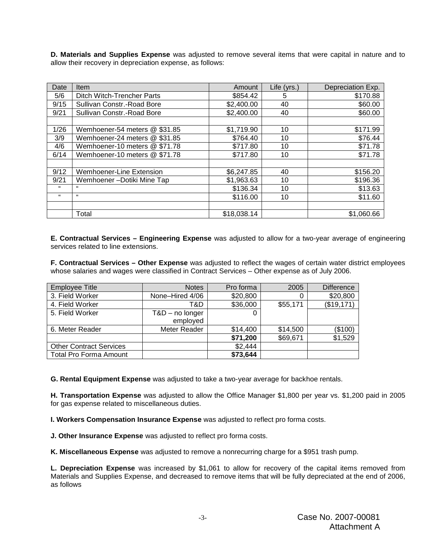**D. Materials and Supplies Expense** was adjusted to remove several items that were capital in nature and to allow their recovery in depreciation expense, as follows:

| Date | <b>Item</b>                   | Amount      | Life (yrs.) | Depreciation Exp. |
|------|-------------------------------|-------------|-------------|-------------------|
| 5/6  | Ditch Witch-Trencher Parts    | \$854.42    | 5           | \$170.88          |
| 9/15 | Sullivan Constr.-Road Bore    | \$2,400.00  | 40          | \$60.00           |
| 9/21 | Sullivan Constr.-Road Bore    | \$2,400.00  | 40          | \$60.00           |
|      |                               |             |             |                   |
| 1/26 | Wemhoener-54 meters @ \$31.85 | \$1,719.90  | 10          | \$171.99          |
| 3/9  | Wemhoener-24 meters @ \$31.85 | \$764.40    | 10          | \$76.44           |
| 4/6  | Wemhoener-10 meters @ \$71.78 | \$717.80    | 10          | \$71.78           |
| 6/14 | Wemhoener-10 meters @ \$71.78 | \$717.80    | 10          | \$71.78           |
|      |                               |             |             |                   |
| 9/12 | Wemhoener-Line Extension      | \$6,247.85  | 40          | \$156.20          |
| 9/21 | Wemhoener-Dotiki Mine Tap     | \$1,963.63  | 10          | \$196.36          |
| 66   | "                             | \$136.34    | 10          | \$13.63           |
| 66   | $\epsilon$                    | \$116.00    | 10          | \$11.60           |
|      |                               |             |             |                   |
|      | Total                         | \$18,038.14 |             | \$1,060.66        |

**E. Contractual Services – Engineering Expense** was adjusted to allow for a two-year average of engineering services related to line extensions.

**F. Contractual Services – Other Expense** was adjusted to reflect the wages of certain water district employees whose salaries and wages were classified in Contract Services – Other expense as of July 2006.

| <b>Employee Title</b>          | <b>Notes</b>      | Pro forma | 2005     | <b>Difference</b> |
|--------------------------------|-------------------|-----------|----------|-------------------|
| 3. Field Worker                | None-Hired 4/06   | \$20,800  |          | \$20,800          |
| 4. Field Worker                | T&D               | \$36,000  | \$55,171 | (\$19,171)        |
| 5. Field Worker                | $T&D$ – no longer | 0         |          |                   |
|                                | employed          |           |          |                   |
| 6. Meter Reader                | Meter Reader      | \$14,400  | \$14,500 | (\$100)           |
|                                |                   | \$71,200  | \$69,671 | \$1,529           |
| <b>Other Contract Services</b> |                   | \$2,444   |          |                   |
| <b>Total Pro Forma Amount</b>  |                   | \$73,644  |          |                   |

**G. Rental Equipment Expense** was adjusted to take a two-year average for backhoe rentals.

**H. Transportation Expense** was adjusted to allow the Office Manager \$1,800 per year vs. \$1,200 paid in 2005 for gas expense related to miscellaneous duties.

**I. Workers Compensation Insurance Expense** was adjusted to reflect pro forma costs.

**J. Other Insurance Expense** was adjusted to reflect pro forma costs.

**K. Miscellaneous Expense** was adjusted to remove a nonrecurring charge for a \$951 trash pump.

**L. Depreciation Expense** was increased by \$1,061 to allow for recovery of the capital items removed from Materials and Supplies Expense, and decreased to remove items that will be fully depreciated at the end of 2006, as follows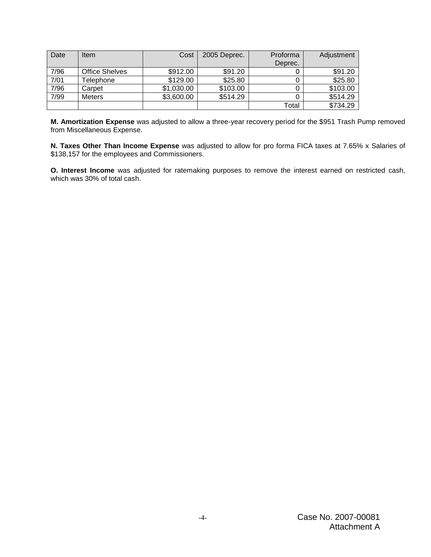| Date | ltem                  | Cost       | 2005 Deprec. | Proforma | Adjustment |
|------|-----------------------|------------|--------------|----------|------------|
|      |                       |            |              | Deprec.  |            |
| 7/96 | <b>Office Shelves</b> | \$912.00   | \$91.20      |          | \$91.20    |
| 7/01 | Telephone             | \$129.00   | \$25.80      | 0        | \$25.80    |
| 7/96 | Carpet                | \$1,030.00 | \$103.00     | 0        | \$103.00   |
| 7/99 | <b>Meters</b>         | \$3,600.00 | \$514.29     | 0        | \$514.29   |
|      |                       |            |              | Total    | \$734.29   |

**M. Amortization Expense** was adjusted to allow a three-year recovery period for the \$951 Trash Pump removed from Miscellaneous Expense.

**N. Taxes Other Than Income Expense** was adjusted to allow for pro forma FICA taxes at 7.65% x Salaries of \$138,157 for the employees and Commissioners.

**O. Interest Income** was adjusted for ratemaking purposes to remove the interest earned on restricted cash, which was 30% of total cash.